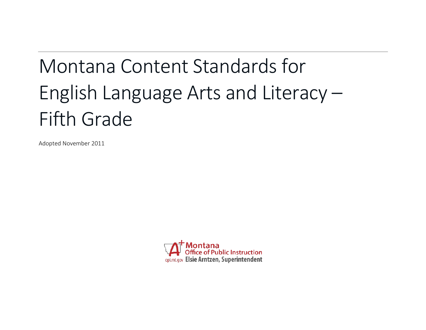# Montana Content Standards for English Language Arts and Literacy – Fifth Grade

Adopted November 2011

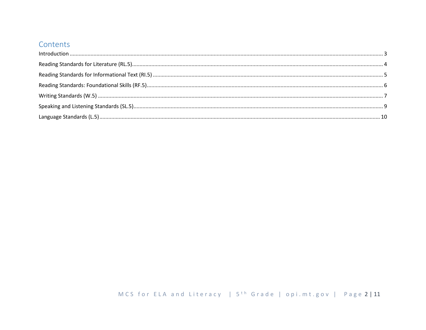## Contents

| $\label{f:1} \mbox{Introduction} \,\, \ldots \,\, \ldots \,\, \ldots \,\, \ldots \,\, \ldots \,\, \ldots \,\, \ldots \,\, \ldots \,\, \ldots \,\, \ldots \,\, \ldots \,\, \ldots \,\, \ldots \,\, \ldots \,\, \ldots \,\, \ldots \,\, \ldots \,\, \ldots \,\, \ldots \,\, \ldots \,\, \ldots \,\, \ldots \,\, \ldots \,\, \ldots \,\, \ldots \,\, \ldots \,\, \ldots \,\, \ldots \,\, \ldots \,\, \ldots \,\, \ldots \,\, \ldots \,\, \ldots \,\, \ldots \,\,$ |  |
|----------------------------------------------------------------------------------------------------------------------------------------------------------------------------------------------------------------------------------------------------------------------------------------------------------------------------------------------------------------------------------------------------------------------------------------------------------------|--|
|                                                                                                                                                                                                                                                                                                                                                                                                                                                                |  |
|                                                                                                                                                                                                                                                                                                                                                                                                                                                                |  |
|                                                                                                                                                                                                                                                                                                                                                                                                                                                                |  |
|                                                                                                                                                                                                                                                                                                                                                                                                                                                                |  |
|                                                                                                                                                                                                                                                                                                                                                                                                                                                                |  |
|                                                                                                                                                                                                                                                                                                                                                                                                                                                                |  |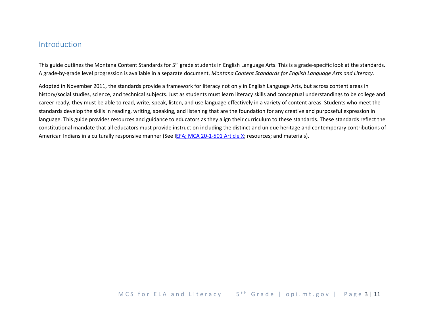### <span id="page-2-0"></span>Introduction

This guide outlines the Montana Content Standards for 5<sup>th</sup> grade students in English Language Arts. This is a grade-specific look at the standards. A grade-by-grade level progression is available in a separate document, *Montana Content Standards for English Language Arts and Literacy*.

Adopted in November 2011, the standards provide a framework for literacy not only in English Language Arts, but across content areas in history/social studies, science, and technical subjects. Just as students must learn literacy skills and conceptual understandings to be college and career ready, they must be able to read, write, speak, listen, and use language effectively in a variety of content areas. Students who meet the standards develop the skills in reading, writing, speaking, and listening that are the foundation for any creative and purposeful expression in language. This guide provides resources and guidance to educators as they align their curriculum to these standards. These standards reflect the constitutional mandate that all educators must provide instruction including the distinct and unique heritage and contemporary contributions of American Indians in a culturally responsive manner (See [IEFA; MCA 20-1-501 Article X;](http://www.opi.mt.gov/PDF/IndianEd/Resources/ArticleX_IEFA.pdf) resources; and materials).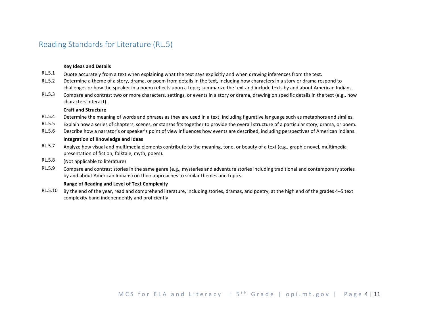## <span id="page-3-0"></span>Reading Standards for Literature (RL.5)

#### **Key Ideas and Details**

- RL.5.1 Quote accurately from a text when explaining what the text says explicitly and when drawing inferences from the text.
- RL.5.2 Determine a theme of a story, drama, or poem from details in the text, including how characters in a story or drama respond to challenges or how the speaker in a poem reflects upon a topic; summarize the text and include texts by and about American Indians.
- RL.5.3 Compare and contrast two or more characters, settings, or events in a story or drama, drawing on specific details in the text (e.g., how characters interact).

#### **Craft and Structure**

- RL.5.4 Determine the meaning of words and phrases as they are used in a text, including figurative language such as metaphors and similes.
- RL.5.5 Explain how a series of chapters, scenes, or stanzas fits together to provide the overall structure of a particular story, drama, or poem.
- RL.5.6 Describe how a narrator's or speaker's point of view influences how events are described, including perspectives of American Indians.

#### **Integration of Knowledge and Ideas**

- RL.5.7 Analyze how visual and multimedia elements contribute to the meaning, tone, or beauty of a text (e.g., graphic novel, multimedia presentation of fiction, folktale, myth, poem).
- RL.5.8 (Not applicable to literature)
- RL.5.9 Compare and contrast stories in the same genre (e.g., mysteries and adventure stories including traditional and contemporary stories by and about American Indians) on their approaches to similar themes and topics.

#### **Range of Reading and Level of Text Complexity**

RL.5.10 By the end of the year, read and comprehend literature, including stories, dramas, and poetry, at the high end of the grades 4–5 text complexity band independently and proficiently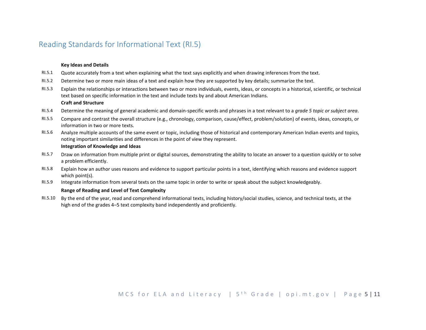## <span id="page-4-0"></span>Reading Standards for Informational Text (RI.5)

#### **Key Ideas and Details**

- RI.5.1 Quote accurately from a text when explaining what the text says explicitly and when drawing inferences from the text.
- RI.5.2 Determine two or more main ideas of a text and explain how they are supported by key details; summarize the text.
- RI.5.3 Explain the relationships or interactions between two or more individuals, events, ideas, or concepts in a historical, scientific, or technical text based on specific information in the text and include texts by and about American Indians. **Craft and Structure**
- RI.5.4 Determine the meaning of general academic and domain-specific words and phrases in a text relevant to a *grade 5 topic or subject area*.
- RI.5.5 Compare and contrast the overall structure (e.g., chronology, comparison, cause/effect, problem/solution) of events, ideas, concepts, or information in two or more texts.
- RI.5.6 Analyze multiple accounts of the same event or topic, including those of historical and contemporary American Indian events and topics, noting important similarities and differences in the point of view they represent.

#### **Integration of Knowledge and Ideas**

- RI.5.7 Draw on information from multiple print or digital sources, demonstrating the ability to locate an answer to a question quickly or to solve a problem efficiently.
- RI.5.8 Explain how an author uses reasons and evidence to support particular points in a text, identifying which reasons and evidence support which point(s).
- RI.5.9 Integrate information from several texts on the same topic in order to write or speak about the subject knowledgeably.

#### **Range of Reading and Level of Text Complexity**

RI.5.10 By the end of the year, read and comprehend informational texts, including history/social studies, science, and technical texts, at the high end of the grades 4–5 text complexity band independently and proficiently.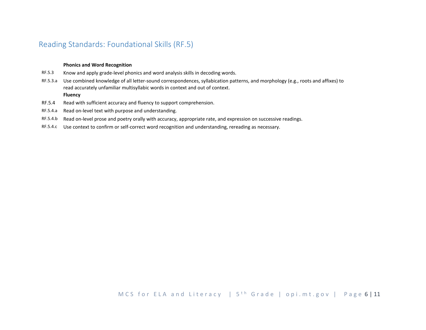## <span id="page-5-0"></span>Reading Standards: Foundational Skills (RF.5)

#### **Phonics and Word Recognition**

- RF.5.3 Know and apply grade-level phonics and word analysis skills in decoding words.
- RF.5.3.a Use combined knowledge of all letter-sound correspondences, syllabication patterns, and morphology (e.g., roots and affixes) to read accurately unfamiliar multisyllabic words in context and out of context.

#### **Fluency**

- RF.5.4 Read with sufficient accuracy and fluency to support comprehension.
- RF.5.4.a Read on-level text with purpose and understanding.
- RF.5.4.b Read on-level prose and poetry orally with accuracy, appropriate rate, and expression on successive readings.
- RF.5.4.c Use context to confirm or self-correct word recognition and understanding, rereading as necessary.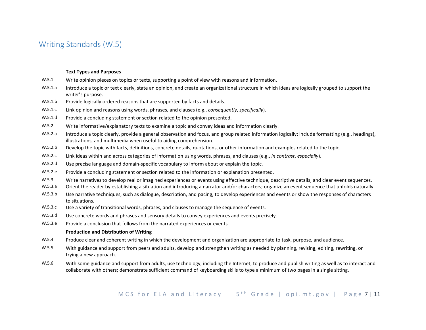## <span id="page-6-0"></span>Writing Standards (W.5)

#### **Text Types and Purposes**

- W.5.1 Write opinion pieces on topics or texts, supporting a point of view with reasons and information.
- W.5.1.a Introduce a topic or text clearly, state an opinion, and create an organizational structure in which ideas are logically grouped to support the writer's purpose.
- W.5.1.b Provide logically ordered reasons that are supported by facts and details.
- W.5.1.c Link opinion and reasons using words, phrases, and clauses (e.g., *consequently*, *specifically*).
- W.5.1.d Provide a concluding statement or section related to the opinion presented.
- W.5.2 Write informative/explanatory texts to examine a topic and convey ideas and information clearly.
- W.5.2.a Introduce a topic clearly, provide a general observation and focus, and group related information logically; include formatting (e.g., headings), illustrations, and multimedia when useful to aiding comprehension.
- W.5.2.b Develop the topic with facts, definitions, concrete details, quotations, or other information and examples related to the topic.
- W.5.2.c Link ideas within and across categories of information using words, phrases, and clauses (e.g., *in contrast*, *especially*).
- W.5.2.d Use precise language and domain-specific vocabulary to inform about or explain the topic.
- W.5.2.e Provide a concluding statement or section related to the information or explanation presented.
- W.5.3 Write narratives to develop real or imagined experiences or events using effective technique, descriptive details, and clear event sequences.
- W.5.3.a Orient the reader by establishing a situation and introducing a narrator and/or characters; organize an event sequence that unfolds naturally.
- W.5.3.b Use narrative techniques, such as dialogue, description, and pacing, to develop experiences and events or show the responses of characters to situations.
- W.5.3.c Use a variety of transitional words, phrases, and clauses to manage the sequence of events.
- W.5.3.d Use concrete words and phrases and sensory details to convey experiences and events precisely.
- W.5.3.e Provide a conclusion that follows from the narrated experiences or events.

#### **Production and Distribution of Writing**

- W.5.4 Produce clear and coherent writing in which the development and organization are appropriate to task, purpose, and audience.
- W.5.5 With guidance and support from peers and adults, develop and strengthen writing as needed by planning, revising, editing, rewriting, or trying a new approach.
- W.5.6 With some guidance and support from adults, use technology, including the Internet, to produce and publish writing as well as to interact and collaborate with others; demonstrate sufficient command of keyboarding skills to type a minimum of two pages in a single sitting.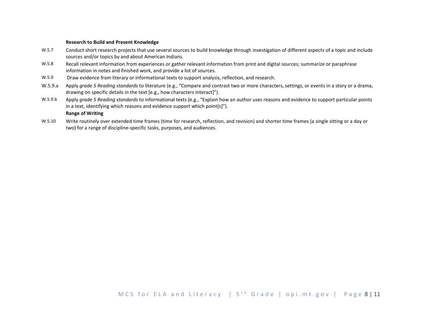#### **Research to Build and Present Knowledge**

- W.5.7 Conduct short research projects that use several sources to build knowledge through investigation of different aspects of a topic and include sources and/or topics by and about American Indians.
- W.5.8 Recall relevant information from experiences or gather relevant information from print and digital sources; summarize or paraphrase information in notes and finished work, and provide a list of sources.
- W.5.9 Draw evidence from literary or informational texts to support analysis, reflection, and research.
- W.5.9.a Apply *grade 5 Reading standards* to literature (e.g., "Compare and contrast two or more characters, settings, or events in a story or a drama, drawing on specific details in the text [e.g., how characters interact]").
- W.5.9.b Apply *grade 5 Reading standards* to informational texts (e.g., "Explain how an author uses reasons and evidence to support particular points in a text, identifying which reasons and evidence support which point[s]").

#### **Range of Writing**

W.5.10 Write routinely over extended time frames (time for research, reflection, and revision) and shorter time frames (a single sitting or a day or two) for a range of discipline-specific tasks, purposes, and audiences.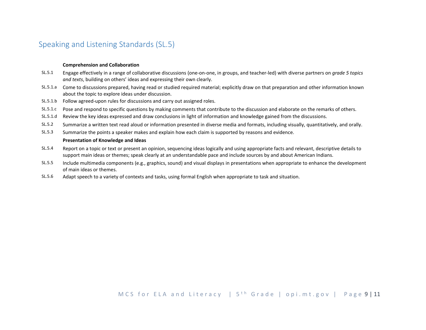## <span id="page-8-0"></span>Speaking and Listening Standards (SL.5)

#### **Comprehension and Collaboration**

- SL.5.1 Engage effectively in a range of collaborative discussions (one-on-one, in groups, and teacher-led) with diverse partners on *grade 5 topics and texts*, building on others' ideas and expressing their own clearly.
- SL.5.1.a Come to discussions prepared, having read or studied required material; explicitly draw on that preparation and other information known about the topic to explore ideas under discussion.
- SL.5.1.b Follow agreed-upon rules for discussions and carry out assigned roles.
- SL.5.1.c Pose and respond to specific questions by making comments that contribute to the discussion and elaborate on the remarks of others.
- SL.5.1.d Review the key ideas expressed and draw conclusions in light of information and knowledge gained from the discussions.
- SL.5.2 Summarize a written text read aloud or information presented in diverse media and formats, including visually, quantitatively, and orally.
- SL.5.3 Summarize the points a speaker makes and explain how each claim is supported by reasons and evidence.

#### **Presentation of Knowledge and Ideas**

- SL.5.4 Report on a topic or text or present an opinion, sequencing ideas logically and using appropriate facts and relevant, descriptive details to support main ideas or themes; speak clearly at an understandable pace and include sources by and about American Indians.
- SL.5.5 Include multimedia components (e.g., graphics, sound) and visual displays in presentations when appropriate to enhance the development of main ideas or themes.
- SL.5.6 Adapt speech to a variety of contexts and tasks, using formal English when appropriate to task and situation.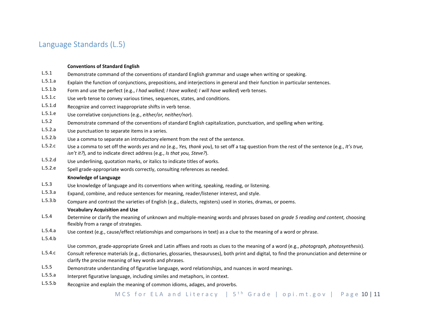## <span id="page-9-0"></span>Language Standards (L.5)

#### **Conventions of Standard English**

- L.5.1 Demonstrate command of the conventions of standard English grammar and usage when writing or speaking.
- L.5.1.a Explain the function of conjunctions, prepositions, and interjections in general and their function in particular sentences.
- L.5.1.b Form and use the perfect (e.g., *I had walked; I have walked; I will have walked*) verb tenses.
- L.5.1.c Use verb tense to convey various times, sequences, states, and conditions.
- L.5.1.d Recognize and correct inappropriate shifts in verb tense.
- L.5.1.e Use correlative conjunctions (e.g., *either/or, neither/nor*).
- L.5.2 Demonstrate command of the conventions of standard English capitalization, punctuation, and spelling when writing.
- L.5.2.a Use punctuation to separate items in a series.
- L.5.2.b Use a comma to separate an introductory element from the rest of the sentence.
- L.5.2.c Use a comma to set off the words *yes* and *no* (e.g., *Yes, thank you*), to set off a tag question from the rest of the sentence (e.g., *It's true, isn't it?*), and to indicate direct address (e.g., *Is that you, Steve?*).
- L.5.2.d Use underlining, quotation marks, or italics to indicate titles of works.
- L.5.2.e Spell grade-appropriate words correctly, consulting references as needed.

#### **Knowledge of Language**

- L.5.3 Use knowledge of language and its conventions when writing, speaking, reading, or listening.
- L.5.3.a Expand, combine, and reduce sentences for meaning, reader/listener interest, and style.
- L.5.3.b Compare and contrast the varieties of English (e.g., dialects, registers) used in stories, dramas, or poems.

#### **Vocabulary Acquisition and Use**

- L.5.4 Determine or clarify the meaning of unknown and multiple-meaning words and phrases based on *grade 5 reading and content,* choosing flexibly from a range of strategies.
- L.5.4.a Use context (e.g., cause/effect relationships and comparisons in text) as a clue to the meaning of a word or phrase.
- L.5.4.b

Use common, grade-appropriate Greek and Latin affixes and roots as clues to the meaning of a word (e.g., *photograph, photosynthesis*).

- L.5.4.c Consult reference materials (e.g., dictionaries, glossaries, thesauruses), both print and digital, to find the pronunciation and determine or clarify the precise meaning of key words and phrases.
- L.5.5 Demonstrate understanding of figurative language, word relationships, and nuances in word meanings.
- L.5.5.a Interpret figurative language, including similes and metaphors, in context.
- L.5.5.b Recognize and explain the meaning of common idioms, adages, and proverbs.